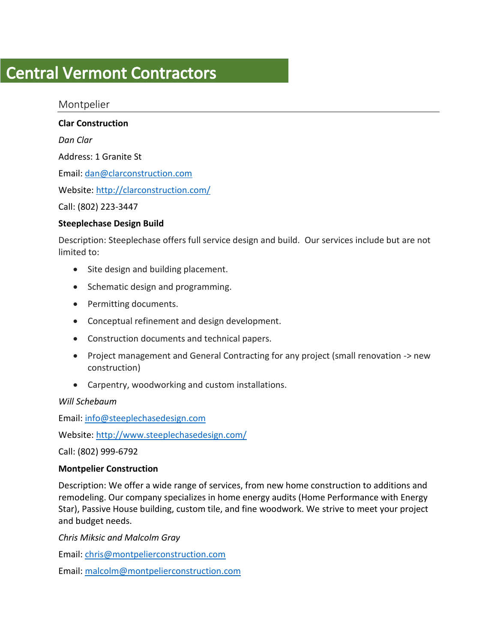# **Central Vermont Contractors**

Montpelier

**Clar Construction**

*Dan Clar*

Address: 1 Granite St

Email: [dan@clarconstruction.com](mailto:dan@clarconstruction.com)

Website:<http://clarconstruction.com/>

Call: (802) 223-3447

# **Steeplechase Design Build**

Description: Steeplechase offers full service design and build. Our services include but are not limited to:

- Site design and building placement.
- Schematic design and programming.
- Permitting documents.
- Conceptual refinement and design development.
- Construction documents and technical papers.
- Project management and General Contracting for any project (small renovation -> new construction)
- Carpentry, woodworking and custom installations.

*Will Schebaum*

Email: [info@steeplechasedesign.com](mailto:info@steeplechasedesign.com)

Website:<http://www.steeplechasedesign.com/>

Call: (802) 999-6792

# **Montpelier Construction**

Description: We offer a wide range of services, from new home construction to additions and remodeling. Our company specializes in home energy audits (Home Performance with Energy Star), Passive House building, custom tile, and fine woodwork. We strive to meet your project and budget needs.

*Chris Miksic and Malcolm Gray* 

Email: [chris@montpelierconstruction.com](mailto:chris@montpelierconstruction.com)

Email: [malcolm@montpelierconstruction.com](mailto:malcolm@montpelierconstruction.com)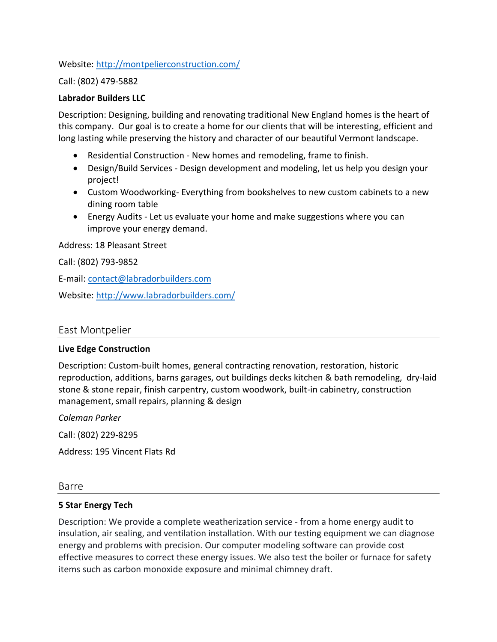Website:<http://montpelierconstruction.com/>

Call: (802) 479-5882

## **Labrador Builders LLC**

Description: Designing, building and renovating traditional New England homes is the heart of this company. Our goal is to create a home for our clients that will be interesting, efficient and long lasting while preserving the history and character of our beautiful Vermont landscape.

- Residential Construction New homes and remodeling, frame to finish.
- Design/Build Services Design development and modeling, let us help you design your project!
- Custom Woodworking- Everything from bookshelves to new custom cabinets to a new dining room table
- Energy Audits Let us evaluate your home and make suggestions where you can improve your energy demand.

Address: 18 Pleasant Street

Call: (802) 793-9852

E-mail: [contact@labradorbuilders.com](mailto:contact@labradorbuilders.com)

Website:<http://www.labradorbuilders.com/>

# East Montpelier

## **Live Edge Construction**

Description: Custom-built homes, general contracting renovation, restoration, historic reproduction, additions, barns garages, out buildings decks kitchen & bath remodeling, dry-laid stone & stone repair, finish carpentry, custom woodwork, built-in cabinetry, construction management, small repairs, planning & design

*Coleman Parker*

Call: (802) 229-8295

Address: 195 Vincent Flats Rd

Barre

## **5 Star Energy Tech**

Description: We provide a complete weatherization service - from a home energy audit to insulation, air sealing, and ventilation installation. With our testing equipment we can diagnose energy and problems with precision. Our computer modeling software can provide cost effective measures to correct these energy issues. We also test the boiler or furnace for safety items such as carbon monoxide exposure and minimal chimney draft.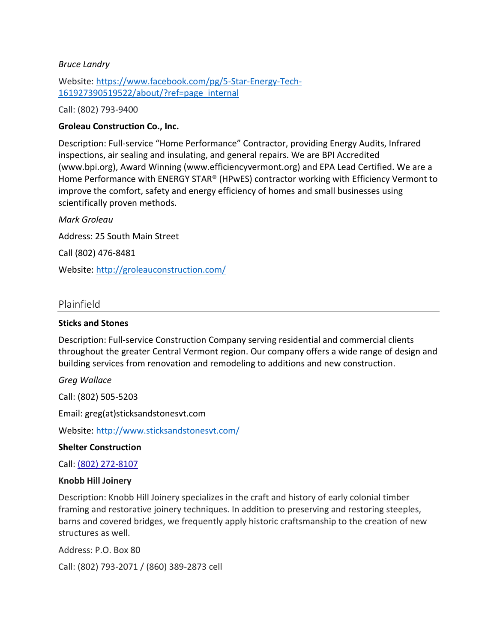## *Bruce Landry*

Website: [https://www.facebook.com/pg/5-Star-Energy-Tech-](https://www.facebook.com/pg/5-Star-Energy-Tech-161927390519522/about/?ref=page_internal)[161927390519522/about/?ref=page\\_internal](https://www.facebook.com/pg/5-Star-Energy-Tech-161927390519522/about/?ref=page_internal)

Call: (802) 793-9400

# **Groleau Construction Co., Inc.**

Description: Full-service "Home Performance" Contractor, providing Energy Audits, Infrared inspections, air sealing and insulating, and general repairs. We are BPI Accredited [\(www.bpi.org\)](http://www.bpi.org/), Award Winning [\(www.efficiencyvermont.org\)](http://www.efficiencyvermont.org/) and EPA Lead Certified. We are a Home Performance with ENERGY STAR® (HPwES) contractor working with Efficiency Vermont to improve the comfort, safety and energy efficiency of homes and small businesses using scientifically proven methods.

*Mark Groleau* Address: 25 South Main Street Call (802) 476-8481 Website:<http://groleauconstruction.com/>

# Plainfield

## **Sticks and Stones**

Description: Full-service Construction Company serving residential and commercial clients throughout the greater Central Vermont region. Our company offers a wide range of design and building services from renovation and remodeling to additions and new construction.

*Greg Wallace*

Call: (802) 505-5203

Email: greg(at)sticksandstonesvt.com

Website:<http://www.sticksandstonesvt.com/>

## **Shelter Construction**

Call: [\(802\) 272-8107](javascript:void(0))

#### **Knobb Hill Joinery**

Description: Knobb Hill Joinery specializes in the craft and history of early colonial timber framing and restorative joinery techniques. In addition to preserving and restoring steeples, barns and covered bridges, we frequently apply historic craftsmanship to the creation of new structures as well.

Address: P.O. Box 80

Call: (802) 793-2071 / (860) 389-2873 cell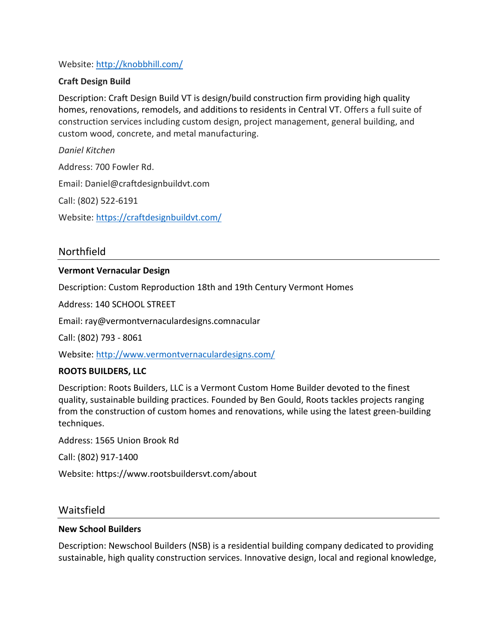# Website:<http://knobbhill.com/>

## **Craft Design Build**

Description: Craft Design Build VT is design/build construction firm providing high quality homes, renovations, remodels, and additions to residents in Central VT. Offers a full suite of construction services including custom design, project management, general building, and custom wood, concrete, and metal manufacturing.

*Daniel Kitchen*

Address: 700 Fowler Rd.

Email: Daniel@craftdesignbuildvt.com

Call: (802) 522-6191

Website:<https://craftdesignbuildvt.com/>

Northfield

## **Vermont Vernacular Design**

Description: Custom Reproduction 18th and 19th Century Vermont Homes

Address: 140 SCHOOL STREET

Email: ray@vermontvernaculardesigns.comnacular

Call: (802) 793 - 8061

Website:<http://www.vermontvernaculardesigns.com/>

## **ROOTS BUILDERS, LLC**

Description: Roots Builders, LLC is a Vermont Custom Home Builder devoted to the finest quality, sustainable building practices. Founded by Ben Gould, Roots tackles projects ranging from the construction of custom homes and renovations, while using the latest green-building techniques.

Address: 1565 Union Brook Rd

Call: (802) 917-1400

Website: https://www.rootsbuildersvt.com/about

## Waitsfield

## **New School Builders**

Description: Newschool Builders (NSB) is a residential building company dedicated to providing sustainable, high quality construction services. Innovative design, local and regional knowledge,